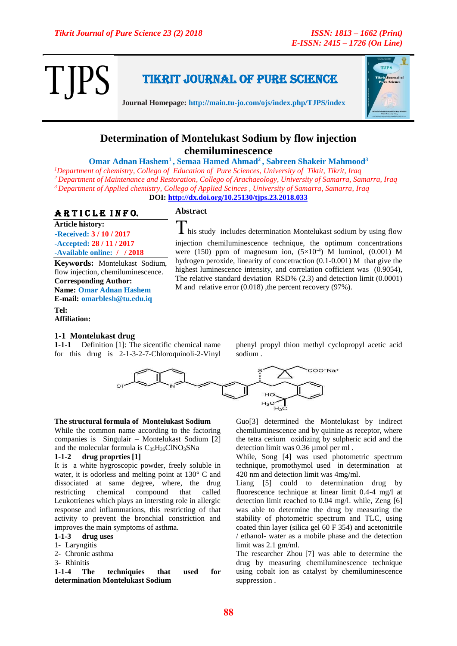Tikrit Journal of Pure Science



**Journal Homepage: http://main.tu-jo.com/ojs/index.php/TJPS/index**

## **Determination of Montelukast Sodium by flow injection chemiluminescence**

**Omar Adnan Hashem<sup>1</sup> , Semaa Hamed Ahmad<sup>2</sup>, Sabreen Shakeir Mahmood<sup>3</sup>** *Department of chemistry, Collego of Education of Pure Sciences, University of Tiktit, Tikrit, Iraq Department of Maintenance and Restoration, Collego of Arachaeology, University of Samarra, Samarra, Iraq Department of Applied chemistry, Collego of Applied Scinces , University of Samarra, Samarra, Iraq*

**DOI:<http://dx.doi.org/10.25130/tjps.23.2018.033>**

## ARTICLE INFO.

### **Abstract**

**Article history: -Received: 3 / 10 / 2017 -Accepted: 28 / 11 / 2017 -Available online: / / 2018**

**Keywords:** Montelukast Sodium, flow injection, chemiluminescence. **Corresponding Author: Name: Omar Adnan Hashem E-mail: omarblesh@tu.edu.iq**

**Tel: Affiliation:**

### **1-1 Montelukast drug**

**1-1-1** Definition [1]: The sicentific chemical name for this drug is 2-1-3-2-7-Chloroquinoli-2-Vinyl phenyl propyl thion methyl cyclopropyl acetic acid sodium .

 $\bf{l}$  his study includes determination Montelukast sodium by using flow injection chemiluminescence technique, the optimum concentrations were (150) ppm of magnesum ion,  $(5\times10^{-4})$  M luminol, (0.001) M hydrogen peroxide, linearity of concetraction (0.1-0.001) M that give the highest luminescence intensity, and correlation cofficient was (0.9054), The relative standard deviation RSD% (2.3) and detection limit (0.0001)

M and relative error (0.018) ,the percent recovery (97%).



### **The structural formula of Montelukast Sodium**

While the common name according to the factoring companies is Singulair – Montelukast Sodium [2] and the molecular formula is  $C_{35}H_{36}CINO_{3}SNa$ 

### **1-1-2 drug proprties [1]**

It is a white hygroscopic powder, freely soluble in water, it is odorless and melting point at 130° C and dissociated at same degree, where, the drug restricting chemical compound that called Leukotrienes which plays an intersting role in allergic response and inflammations, this restricting of that activity to prevent the bronchial constriction and improves the main symptoms of asthma.

### **1-1-3 drug uses**

- 1- Laryngitis
- 2- Chronic asthma
- 3- Rhinitis

**1-1-4 The techniquies that used for determination Montelukast Sodium**

Guo[3] determined the Montelukast by indirect chemiluminescence and by quinine as receptor, where the tetra cerium oxidizing by sulpheric acid and the detection limit was 0.36 µmol per ml .

While, Song [4] was used photometric spectrum technique, promothymol used in determination at 420 nm and detection limit was 4mg/ml.

Liang [5] could to determination drug by fluorescence technique at linear limit 0.4-4 mg/l at detection limit reached to 0.04 mg/l. while, Zeng [6] was able to determine the drug by measuring the stability of photometric spectrum and TLC, using coated thin layer (silica gel 60 F 354) and acetonitrile / ethanol- water as a mobile phase and the detection limit was 2.1 gm/ml.

The researcher Zhou [7] was able to determine the drug by measuring chemiluminescence technique using cobalt ion as catalyst by chemiluminescence suppression .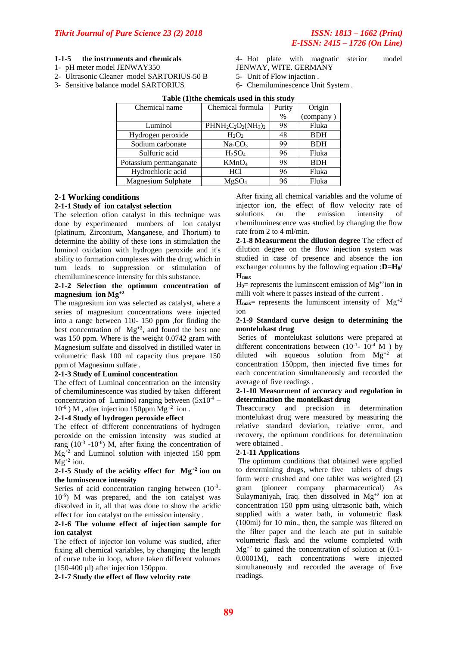### **1-1-5 the instruments and chemicals**

- 1- pH meter model JENWAY350
- 2- Ultrasonic Cleaner model SARTORIUS-50 B
- 3- Sensitive balance model SARTORIUS
- 4- Hot plate with magnatic sterior model JENWAY, WITE. GERMANY
- 5- Unit of Flow injaction .
- 6- Chemiluminescence Unit System .

| Chemical name          | Chemical formula                | Purity | Origin     |
|------------------------|---------------------------------|--------|------------|
|                        |                                 | $\%$   | (company)  |
| Luminol                | $PHNH2C2O2(NH3)2$               | 98     | Fluka      |
| Hydrogen peroxide      | $H_2O_2$                        | 48     | <b>BDH</b> |
| Sodium carbonate       | Na <sub>2</sub> CO <sub>3</sub> | 99     | <b>BDH</b> |
| Sulfuric acid          | $H_2SO_4$                       | 96     | Fluka      |
| Potassium permanganate | KMnO <sub>4</sub>               | 98     | <b>BDH</b> |
| Hydrochloric acid      | HC <sub>1</sub>                 | 96     | Fluka      |
| Magnesium Sulphate     | MgSO <sub>4</sub>               | 96     | Fluka      |

### **Table (1)the chemicals used in this study**

### **2-1 Working conditions**

### **2-1-1 Study of ion catalyst selection**

The selection ofion catalyst in this technique was done by experimented numbers of ion catalyst (platinum, Zirconium, Manganese, and Thorium) to determine the ability of these ions in stimulation the luminol oxidation with hydrogen peroxide and it's ability to formation complexes with the drug which in turn leads to suppression or stimulation of chemiluminescence intensity for this substance.

### **2-1-2 Selection the optimum concentration of magnesium ion Mg+2**

The magnesium ion was selected as catalyst, where a series of magnesium concentrations were injected into a range between 110- 150 ppm ,for finding the best concentration of  $Mg^{+2}$ , and found the best one was 150 ppm. Where is the weight 0.0742 gram with Magnesium sulfate and dissolved in distilled water in volumetric flask 100 ml capacity thus prepare 150 ppm of Magnesium sulfate .

### **2-1-3 Study of Luminol concentration**

The effect of Luminal concentration on the intensity of chemiluminescence was studied by taken different concentration of Luminol ranging between  $(5x10^{-4} 10^{-6}$ ) M, after injection 150ppm Mg<sup>+2</sup> ion.

### **2-1-4 Study of hydrogen peroxide effect**

The effect of different concentrations of hydrogen peroxide on the emission intensity was studied at rang  $(10^{-3} - 10^{-6})$  M, after fixing the concentration of  $Mg<sup>+2</sup>$  and Luminol solution with injected 150 ppm  $Mg^{+2}$  ion.

### **2-1-5 Study of the acidity effect for Mg+2 ion on the luminscence intensity**

Series of acid concentration ranging between  $(10^{-3}$ -10-5 ) M was prepared, and the ion catalyst was dissolved in it, all that was done to show the acidic effect for ion catalyst on the emission intensity .

### **2-1-6 The volume effect of injection sample for ion catalyst**

The effect of injector ion volume was studied, after fixing all chemical variables, by changing the length of curve tube in loop, where taken different volumes (150-400 µl) after injection 150ppm.

**2-1-7 Study the effect of flow velocity rate**

After fixing all chemical variables and the volume of injector ion, the effect of flow velocity rate of solutions on the emission intensity of chemiluminescence was studied by changing the flow rate from 2 to 4 ml/min.

**2-1-8 Measurment the dilution degree** The effect of dilution degree on the flow injection system was studied in case of presence and absence the ion exchanger columns by the following equation :**D=H0/ Hmax**

 $H_0$ = represents the luminscent emission of  $Mg^{+2}$ ion in milli volt where it passes instead of the current .

 $H_{\text{max}}$  represents the luminscent intensity of  $Mg^{+2}$  $i$ on

### **2-1-9 Standard curve design to determining the montelukast drug**

Series of montelukast solutions were prepared at different concentrations between  $(10^{-1} - 10^{-4})$  M  $)$  by diluted wih aqueous solution from  $Mg^{+2}$  at concentration 150ppm, then injected five times for each concentration simultaneously and recorded the average of five readings .

### **2-1-10 Measurment of accuracy and regulation in determination the montelkast drug**

Theaccuracy and precision in determination montelukast drug were measured by measuring the relative standard deviation, relative error, and recovery, the optimum conditions for determination were obtained .

### **2-1-11 Applications**

The optimum conditions that obtained were applied to determining drugs, where five tablets of drugs form were crushed and one tablet was weighted (2) gram (pioneer company pharmaceutical) As Sulaymaniyah, Iraq. then dissolved in  $Mg^{+2}$  ion at concentration 150 ppm using ultrasonic bath, which supplied with a water bath, in volumetric flask (100ml) for 10 min., then, the sample was filtered on the filter paper and the leach ate put in suitable volumetric flask and the volume completed with  $Mg^{+2}$  to gained the concentration of solution at (0.1-0.0001M), each concentrations were injected simultaneously and recorded the average of five readings.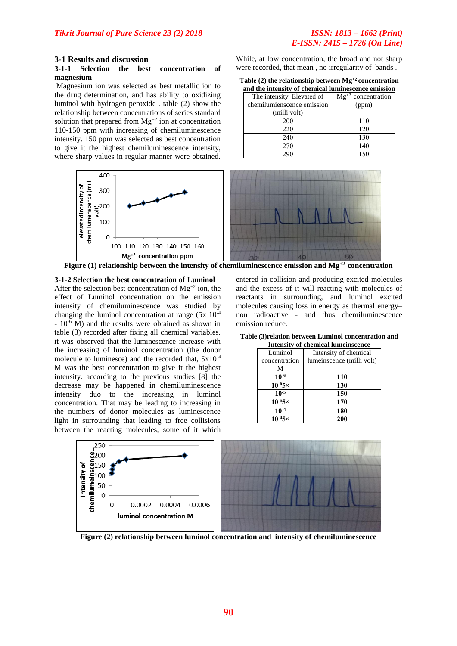# *E-ISSN: 2415 – 1726 (On Line)*

### **3-1 Results and discussion**

### **3-1-1 Selection the best concentration of magnesium**

Magnesium ion was selected as best metallic ion to the drug determination, and has ability to oxidizing luminol with hydrogen peroxide . table (2) show the relationship between concentrations of series standard solution that prepared from  $Mg^{+2}$  ion at concentration 110-150 ppm with increasing of chemiluminescence intensity. 150 ppm was selected as best concentration to give it the highest chemiluminescence intensity, where sharp values in regular manner were obtained.



**Figure (1) relationship between the intensity of chemiluminescence emission and Mg+2 concentration**

#### **3-1-2 Selection the best concentration of Luminol**

After the selection best concentration of  $Mg^{+2}$  ion, the effect of Luminol concentration on the emission intensity of chemiluminescence was studied by changing the luminol concentration at range  $(5x \ 10^{-4})$  $-10^{-6}$  M) and the results were obtained as shown in table (3) recorded after fixing all chemical variables. it was observed that the luminescence increase with the increasing of luminol concentration (the donor molecule to luminesce) and the recorded that, 5x10-4 M was the best concentration to give it the highest intensity. according to the previous studies [8] the decrease may be happened in chemiluminescence intensity duo to the increasing in luminol concentration. That may be leading to increasing in the numbers of donor molecules as luminescence light in surrounding that leading to free collisions between the reacting molecules, some of it which

entered in collision and producing excited molecules and the excess of it will reacting with molecules of reactants in surrounding, and luminol excited molecules causing loss in energy as thermal energy– non radioactive - and thus chemiluminescence emission reduce.

| Table (3) relation between Luminol concentration and |  |
|------------------------------------------------------|--|
|------------------------------------------------------|--|

| <b>Intensity of chemical lumeinscence</b> |                           |  |  |  |
|-------------------------------------------|---------------------------|--|--|--|
| Luminol                                   | Intensity of chemical     |  |  |  |
| concentration                             | lumeinscence (milli volt) |  |  |  |
| М                                         |                           |  |  |  |
| $10^{-6}$                                 | 110                       |  |  |  |
| $10^{-6}$                                 | 130                       |  |  |  |
| $10^{-5}$                                 | 150                       |  |  |  |
| $10^{-5}$ 5×                              | 170                       |  |  |  |
| $10^{-4}$                                 | 180                       |  |  |  |
| $10^{-4}$ 5×                              | 200                       |  |  |  |



**Figure (2) relationship between luminol concentration and intensity of chemiluminescence**

While, at low concentration, the broad and not sharp were recorded, that mean , no irregularity of bands . **Table (2) the relationship between Mg+2 concentration** 

| <b>Table (2) the relationship between Mg - concentration</b> |                                                      |  |
|--------------------------------------------------------------|------------------------------------------------------|--|
|                                                              | and the intensity of chamical luminescense emission. |  |

| and the intensity of chemical luminescence emission |                         |  |  |  |  |  |
|-----------------------------------------------------|-------------------------|--|--|--|--|--|
| The intensity Elevated of                           | $Mg^{+2}$ concentration |  |  |  |  |  |
| chemilumienscence emission                          | (ppm)                   |  |  |  |  |  |
| (milli volt)                                        |                         |  |  |  |  |  |
| 200                                                 | 110                     |  |  |  |  |  |
| 220                                                 | 120                     |  |  |  |  |  |
| 240                                                 | 130                     |  |  |  |  |  |
| 270                                                 | 140                     |  |  |  |  |  |
| 290                                                 | 150                     |  |  |  |  |  |
|                                                     |                         |  |  |  |  |  |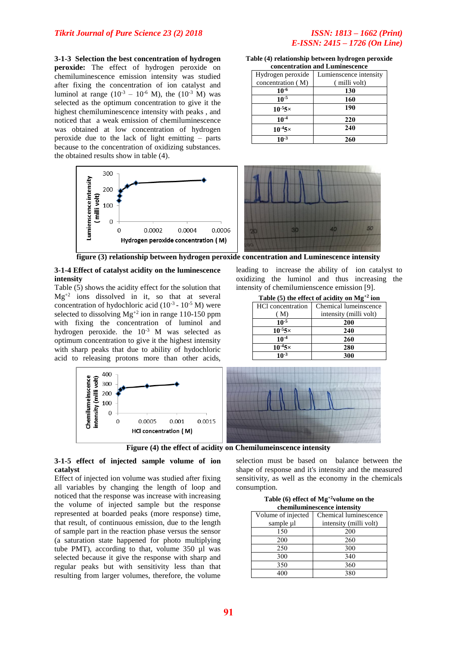### *Tikrit Journal of Pure Science 23 (2) 2018 ISSN: 1813 – 1662 (Print)*

**3-1-3 Selection the best concentration of hydrogen peroxide:** The effect of hydrogen peroxide on chemiluminescence emission intensity was studied after fixing the concentration of ion catalyst and luminol at range ( $10^{-3}$  –  $10^{-6}$  M), the ( $10^{-3}$  M) was selected as the optimum concentration to give it the highest chemiluminescence intensity with peaks , and noticed that a weak emission of chemiluminescence was obtained at low concentration of hydrogen peroxide due to the lack of light emitting – parts because to the concentration of oxidizing substances. the obtained results show in table (4).



| Table (4) relationship between hydrogen peroxide |
|--------------------------------------------------|
| concentration and Luminescence                   |

| Hydrogen peroxide | Lumienscence intensity |  |  |  |  |
|-------------------|------------------------|--|--|--|--|
| concentration (M) | (milli volt)           |  |  |  |  |
| $10^{-6}$         | 130                    |  |  |  |  |
| $10^{-5}$         | 160                    |  |  |  |  |
| $10^{-5}$ 5×      | 190                    |  |  |  |  |
| $10^{-4}$         | 220                    |  |  |  |  |
| $10^{-4}$ 5×      | 240                    |  |  |  |  |
| $10^{-3}$         | 260                    |  |  |  |  |



leading to increase the ability of ion catalyst to oxidizing the luminol and thus increasing the

**Table (5) the effect of acidity on Mg+2 ion**

 $\frac{10^{-5}}{0^{-5}5 \times 200}$ 

 $\frac{10^{-4}}{0^{-4}5 \times 280}$ 

 $10^{-3}$   $300$ 

Chemical lumeinscence intensity (milli volt)

intensity of chemilumienscence emission [9].

HCl concentration ( M)

 $10^{-5}$ <sup>5×</sup>

 $10^{-4}$ <sup>5×</sup>

**figure (3) relationship between hydrogen peroxide concentration and Luminescence intensity**

### **3-1-4 Effect of catalyst acidity on the luminescence intensity**

Table (5) shows the acidity effect for the solution that  $Mg^{+2}$  ions dissolved in it, so that at several concentration of hydochloric acid  $(10^{-3} - 10^{-5} M)$  were selected to dissolving  $Mg^{+2}$  ion in range 110-150 ppm with fixing the concentration of luminol and hydrogen peroxide. the  $10^{-3}$  M was selected as optimum concentration to give it the highest intensity with sharp peaks that due to ability of hydochloric acid to releasing protons more than other acids,



**Figure (4) the effect of acidity on Chemilumeinscence intensity**

### **3-1-5 effect of injected sample volume of ion catalyst**

Effect of injected ion volume was studied after fixing all variables by changing the length of loop and noticed that the response was increase with increasing the volume of injected sample but the response represented at boarded peaks (more response) time, that result, of continuous emission, due to the length of sample part in the reaction phase versus the sensor (a saturation state happened for photo multiplying tube PMT), according to that, volume 350 µl was selected because it give the response with sharp and regular peaks but with sensitivity less than that resulting from larger volumes, therefore, the volume

selection must be based on balance between the shape of response and it's intensity and the measured sensitivity, as well as the economy in the chemicals consumption.

| Table (6) effect of $Mg^{+2}$ volume on the |  |
|---------------------------------------------|--|
| chemiluminescence intensity                 |  |

| Volume of injected | Chemical luminescence  |  |  |  |  |
|--------------------|------------------------|--|--|--|--|
| sample µl          | intensity (milli volt) |  |  |  |  |
| 150                | 200                    |  |  |  |  |
| 200                | 260                    |  |  |  |  |
| 250                | 300                    |  |  |  |  |
| 300                | 340                    |  |  |  |  |
| 350                | 360                    |  |  |  |  |
|                    | 380                    |  |  |  |  |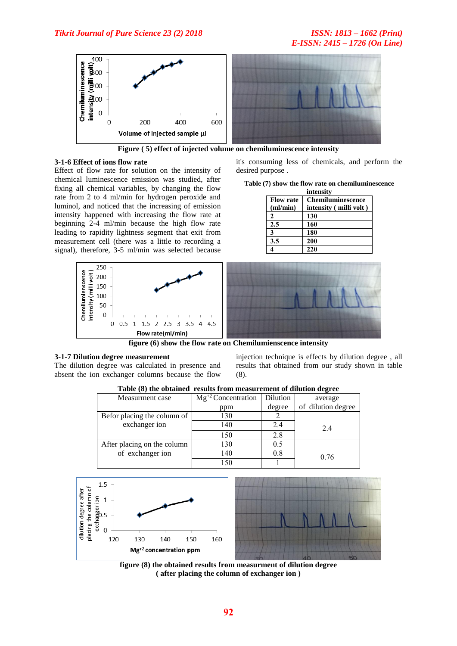# *E-ISSN: 2415 – 1726 (On Line)*



**Figure ( 5) effect of injected volume on chemiluminescence intensity**

### **3-1-6 Effect of ions flow rate**

Effect of flow rate for solution on the intensity of chemical luminescence emission was studied, after fixing all chemical variables, by changing the flow rate from 2 to 4 ml/min for hydrogen peroxide and luminol, and noticed that the increasing of emission intensity happened with increasing the flow rate at beginning 2-4 ml/min because the high flow rate leading to rapidity lightness segment that exit from measurement cell (there was a little to recording a signal), therefore, 3-5 ml/min was selected because

it's consuming less of chemicals, and perform the desired purpose .

|  |  |  |  |  |  | Table (7) show the flow rate on chemiluminescence |
|--|--|--|--|--|--|---------------------------------------------------|
|  |  |  |  |  |  |                                                   |

|                  | miensity               |
|------------------|------------------------|
| <b>Flow rate</b> | Chemiluminescence      |
| $m/m$ in         | intensity (milli volt) |
|                  | 130                    |
| 2.5              | 160                    |
| 3                | 180                    |
| 3.5              | 200                    |
|                  | 220                    |



# **3-1-7 Dilution degree measurement**

The dilution degree was calculated in presence and absent the ion exchanger columns because the flow injection technique is effects by dilution degree , all results that obtained from our study shown in table (8).

| Table (8) the obtained results from measurement of dilution degree |                         |          |                    |  |  |  |
|--------------------------------------------------------------------|-------------------------|----------|--------------------|--|--|--|
| Measurment case                                                    | $Mg^{+2}$ Concentration | Dilution | average            |  |  |  |
|                                                                    | ppm                     | degree   | of dilution degree |  |  |  |
| Befor placing the column of                                        | 130                     |          |                    |  |  |  |
| exchanger ion                                                      | 140                     | 2.4      | 24                 |  |  |  |
|                                                                    | 150                     | 2.8      |                    |  |  |  |
| After placing on the column                                        | 130                     | 0.5      |                    |  |  |  |
| of exchanger ion                                                   | 140                     | 0.8      | 0.76               |  |  |  |
|                                                                    | 150                     |          |                    |  |  |  |



**figure (8) the obtained results from measurment of dilution degree ( after placing the column of exchanger ion )**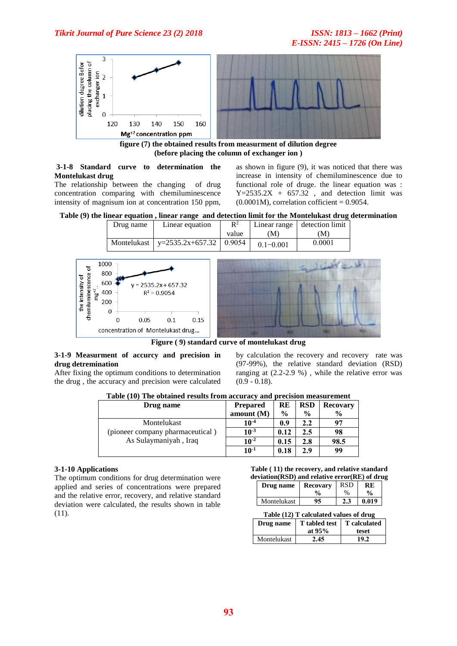

**figure (7) the obtained results from measurment of dilution degree (before placing the column of exchanger ion )**

### **3-1-8 Standard curve to determination the Montelukast drug**

The relationship between the changing of drug concentration comparing with chemiluminescence intensity of magnisum ion at concentration 150 ppm,

as shown in figure (9), it was noticed that there was increase in intensity of chemiluminescence due to functional role of druge. the linear equation was :  $Y=2535.2X + 657.32$ , and detection limit was  $(0.0001M)$ , correlation cofficient = 0.9054.

**Table (9) the linear equation , linear range and detection limit for the Montelukast drug determination**

| Drug name | Linear equation                           | $\mathbb{R}^2$ | Linear range  | detection limit |
|-----------|-------------------------------------------|----------------|---------------|-----------------|
|           |                                           | value          | M)            | (M)             |
|           | Montelukast   $y=2535.2x+657.32$   0.9054 |                | $0.1 - 0.001$ | 0.0001          |



**Figure ( 9) standard curve of montelukast drug**

### **3-1-9 Measurment of accurcy and precision in drug detremination**

After fixing the optimum conditions to determination the drug , the accuracy and precision were calculated by calculation the recovery and recovery rate was (97-99%), the relative standard deviation (RSD) ranging at (2.2-2.9 %) , while the relative error was  $(0.9 - 0.18).$ 

| Table (10) The obtained results from accuracy and precision measurement |                 |               |               |                 |
|-------------------------------------------------------------------------|-----------------|---------------|---------------|-----------------|
| Drug name                                                               | <b>Prepared</b> | RE            | <b>RSD</b>    | <b>Recovary</b> |
|                                                                         | amount $(M)$    | $\frac{6}{9}$ | $\frac{6}{9}$ | $\frac{6}{9}$   |
| Montelukast                                                             | $10^{-4}$       | 0.9           | 2.2           | 97              |
| (pioneer company pharmaceutical)                                        | $10^{-3}$       | 0.12          | $2.5\,$       | 98              |
| As Sulaymaniyah, Iraq                                                   | $10^{-2}$       | 0.15          | 2.8           | 98.5            |
|                                                                         | $10^{-1}$       | 0.18          | 2.9           | 99              |

**Table (10) The obtained results from accuracy and precision measurement**

### **3-1-10 Applications**

The optimum conditions for drug determination were applied and series of concentrations were prepared and the relative error, recovery, and relative standard deviation were calculated, the results shown in table (11).

### **Table ( 11) the recovery, and relative standard deviation(RSD) and relative error(RE) of drug**

| Drug name   | Recovary      | RSD  | RE    |
|-------------|---------------|------|-------|
|             | $\frac{6}{6}$ | $\%$ | $\%$  |
| Montelukast | 95            |      | 0.019 |

| Table (12) T calculated values of drug |  |
|----------------------------------------|--|
|                                        |  |

| Drug name   | T tabled test   T calculated |       |
|-------------|------------------------------|-------|
|             | at $95%$                     | teset |
| Montelukast | 2.45                         | 19.2  |